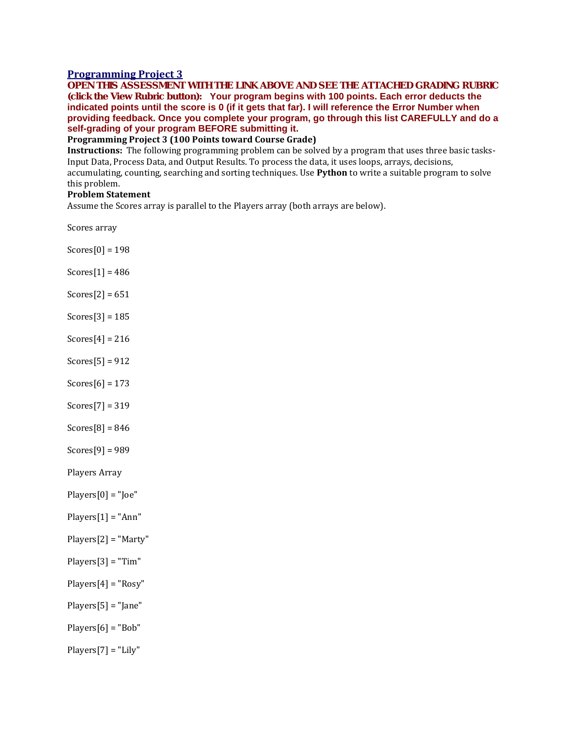## **[Programming](https://ctc.blackboard.com/webapps/assignment/uploadAssignment?content_id=_8537465_1&course_id=_219252_1&group_id=&mode=view) Project 3**

**OPEN THIS ASSESSMENT WITH THE LINK ABOVE AND SEE THE ATTACHED GRADING RUBRIC (click the View Rubric button): Your program begins with 100 points. Each error deducts the** indicated points until the score is 0 (if it gets that far). I will reference the Error Number when **providing feedback. Once you complete your program, go through this list CAREFULLY and do a self-grading of your program BEFORE submitting it.**

**Programming Project 3 (100 Points toward Course Grade)**

**Instructions:** The following programming problem can be solved by a program that uses three basic tasks-Input Data, Process Data, and Output Results. To process the data, it uses loops, arrays, decisions, accumulating, counting, searching and sorting techniques. Use **Python** to write a suitable program to solve this problem.

## **Problem Statement**

Assume the Scores array is parallel to the Players array (both arrays are below).

Scores array

- Scores[0] = 198
- Scores $[1] = 486$
- $Scores[2] = 651$
- Scores[3] = 185
- $Scores[4] = 216$
- $Scores[5] = 912$
- Scores $[6] = 173$
- Scores[7] = 319
- $Scores[8] = 846$
- Scores[9] = 989

Players Array

- $Plavers[0] = "Joe"$
- $Players[1] = "Ann"$
- Players[2] = "Marty"
- Players[3] = "Tim"
- Players[4] = "Rosy"
- Players[5] = "Jane"
- $Players[6] = "Bob"$
- Players[7] = "Lily"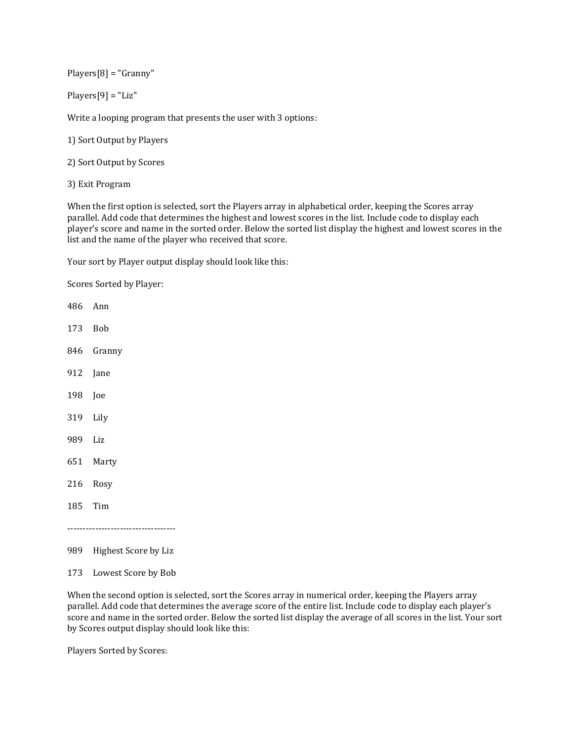Players[8] = "Granny"

Players[9] = "Liz"

Write a looping program that presents the user with 3 options:

1) Sort Output by Players

- 2) Sort Output by Scores
- 3) Exit Program

When the first option is selected, sort the Players array in alphabetical order, keeping the Scores array parallel. Add code that determines the highest and lowest scores in the list. Include code to display each player's score and name in the sorted order. Below the sorted list display the highest and lowest scores in the list and the name of the player who received that score.

Your sort by Player output display should look like this:

Scores Sorted by Player:

- 486 Ann 173 Bob 846 Granny 912 Jane 198 Joe 319 Lily 989 Liz 651 Marty 216 Rosy 185 Tim -----------------------------------
- 989 Highest Score by Liz
- 173 Lowest Score by Bob

When the second option is selected, sort the Scores array in numerical order, keeping the Players array parallel. Add code that determines the average score of the entire list. Include code to display each player's score and name in the sorted order. Below the sorted list display the average of all scores in the list. Your sort by Scores output display should look like this:

Players Sorted by Scores: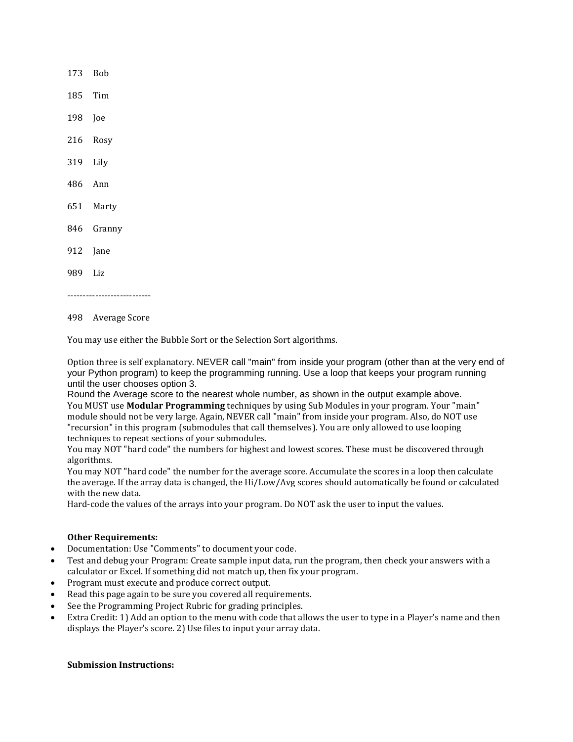173 Bob 185 Tim 198 Joe 216 Rosy 319 Lily 486 Ann 651 Marty 846 Granny 912 Jane 989 Liz ---------------------------

498 Average Score

You may use either the Bubble Sort or the Selection Sort algorithms.

Option three is self explanatory. NEVER call "main" from inside your program (other than at the very end of your Python program) to keep the programming running. Use a loop that keeps your program running until the user chooses option 3.

Round the Average score to the nearest whole number, as shown in the output example above. You MUST use **Modular Programming** techniques by using Sub Modules in your program. Your "main" module should not be very large. Again, NEVER call "main" from inside your program. Also, do NOT use "recursion" in this program (submodules that call themselves). You are only allowed to use looping techniques to repeat sections of your submodules.

You may NOT "hard code" the numbers for highest and lowest scores. These must be discovered through algorithms.

You may NOT "hard code" the number for the average score. Accumulate the scores in a loop then calculate the average. If the array data is changed, the Hi/Low/Avg scores should automatically be found or calculated with the new data.

Hard-code the values of the arrays into your program. Do NOT ask the user to input the values.

## **Other Requirements:**

- Documentation: Use "Comments" to document your code.
- Test and debug your Program: Create sample input data, run the program, then check your answers with a calculator or Excel. If something did not match up, then fix your program.
- Program must execute and produce correct output.
- Read this page again to be sure you covered all requirements.
- See the Programming Project Rubric for grading principles.
- Extra Credit: 1) Add an option to the menu with code that allows the user to type in a Player's name and then displays the Player's score. 2) Use files to input your array data.

## **Submission Instructions:**